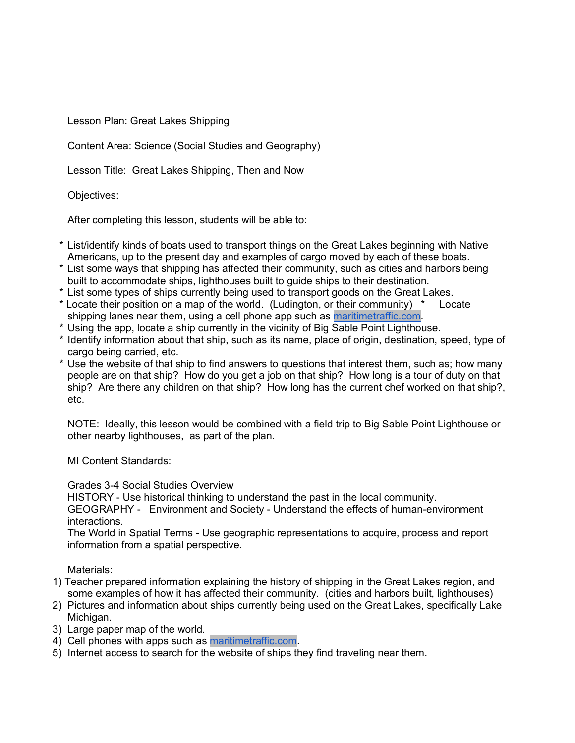Lesson Plan: Great Lakes Shipping

Content Area: Science (Social Studies and Geography)

Lesson Title: Great Lakes Shipping, Then and Now

Objectives:

After completing this lesson, students will be able to:

- \* List/identify kinds of boats used to transport things on the Great Lakes beginning with Native Americans, up to the present day and examples of cargo moved by each of these boats.
- \* List some ways that shipping has affected their community, such as cities and harbors being built to accommodate ships, lighthouses built to guide ships to their destination.
- \* List some types of ships currently being used to transport goods on the Great Lakes.
- \* Locate their position on a map of the world. (Ludington, or their community) \* Locate shipping lanes near them, using a cell phone app such as [maritimetraffic.com.](http://maritimetraffic.com/)
- \* Using the app, locate a ship currently in the vicinity of Big Sable Point Lighthouse.
- \* Identify information about that ship, such as its name, place of origin, destination, speed, type of cargo being carried, etc.
- \* Use the website of that ship to find answers to questions that interest them, such as; how many people are on that ship? How do you get a job on that ship? How long is a tour of duty on that ship? Are there any children on that ship? How long has the current chef worked on that ship?, etc.

NOTE: Ideally, this lesson would be combined with a field trip to Big Sable Point Lighthouse or other nearby lighthouses, as part of the plan.

MI Content Standards:

Grades 3-4 Social Studies Overview

HISTORY - Use historical thinking to understand the past in the local community.

GEOGRAPHY - Environment and Society - Understand the effects of human-environment interactions.

The World in Spatial Terms - Use geographic representations to acquire, process and report information from a spatial perspective.

Materials:

- 1) Teacher prepared information explaining the history of shipping in the Great Lakes region, and some examples of how it has affected their community. (cities and harbors built, lighthouses)
- 2) Pictures and information about ships currently being used on the Great Lakes, specifically Lake Michigan.
- 3) Large paper map of the world.
- 4) Cell phones with apps such as [maritimetraffic.com.](http://maritimetraffic.com/)
- 5) Internet access to search for the website of ships they find traveling near them.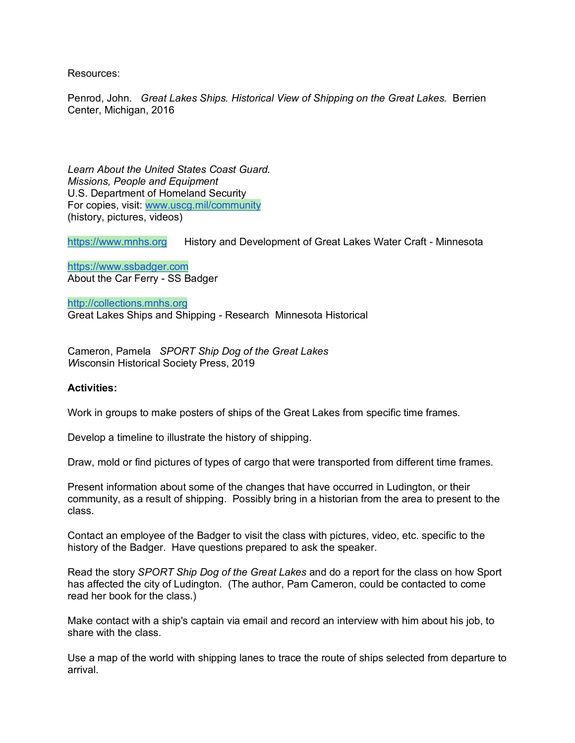Resources:

Penrod, John. *Great Lakes Ships. Historical View of Shipping on the Great Lakes.* Berrien Center, Michigan, 2016

*Learn About the United States Coast Guard. Missions, People and Equipment* U.S. Department of Homeland Security For copies, visit: [www.uscg.mil/community](http://www.uscg.mil/community) (history, pictures, videos)

[https://www.mnhs.org](https://www.mnhs.org/) History and Development of Great Lakes Water Craft - Minnesota

[https://www.ssbadger.com](https://www.ssbadger.com/) About the Car Ferry - SS Badger

[http://collections.mnhs.org](http://collections.mnhs.org/) Great Lakes Ships and Shipping - Research Minnesota Historical

Cameron, Pamela *SPORT Ship Dog of the Great Lakes W*isconsin Historical Society Press, 2019

## **Activities:**

Work in groups to make posters of ships of the Great Lakes from specific time frames.

Develop a timeline to illustrate the history of shipping.

Draw, mold or find pictures of types of cargo that were transported from different time frames.

Present information about some of the changes that have occurred in Ludington, or their community, as a result of shipping. Possibly bring in a historian from the area to present to the class.

Contact an employee of the Badger to visit the class with pictures, video, etc. specific to the history of the Badger. Have questions prepared to ask the speaker.

Read the story *SPORT Ship Dog of the Great Lakes* and do a report for the class on how Sport has affected the city of Ludington. (The author, Pam Cameron, could be contacted to come read her book for the class.)

Make contact with a ship's captain via email and record an interview with him about his job, to share with the class.

Use a map of the world with shipping lanes to trace the route of ships selected from departure to arrival.